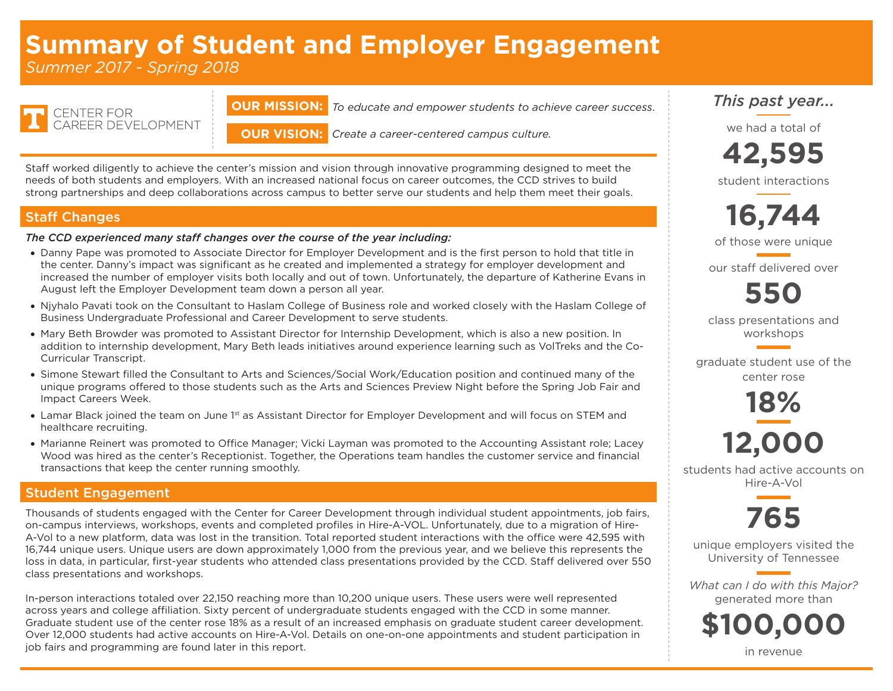# **Summary of Student and Employer Engagement**

*Summer 2017 - Spring 2018*

**ENTER FOR** CAREER DEVELOPMENT **OUR MISSION:** *To educate and empower students to achieve career success*.

**OUR VISION:** *Create a career-centered campus culture.*

Staff worked diligently to achieve the center's mission and vision through innovative programming designed to meet the needs of both students and employers. With an increased national focus on career outcomes, the CCD strives to build strong partnerships and deep collaborations across campus to better serve our students and help them meet their goals.

#### Staff Changes

#### *The CCD experienced many staff changes over the course of the year including:*

- Danny Pape was promoted to Associate Director for Employer Development and is the first person to hold that title in the center. Danny's impact was significant as he created and implemented a strategy for employer development and increased the number of employer visits both locally and out of town. Unfortunately, the departure of Katherine Evans in August left the Employer Development team down a person all year.
- • Njyhalo Pavati took on the Consultant to Haslam College of Business role and worked closely with the Haslam College of Business Undergraduate Professional and Career Development to serve students.
- • Mary Beth Browder was promoted to Assistant Director for Internship Development, which is also a new position. In addition to internship development, Mary Beth leads initiatives around experience learning such as VolTreks and the Co-Curricular Transcript.
- • Simone Stewart filled the Consultant to Arts and Sciences/Social Work/Education position and continued many of the unique programs offered to those students such as the Arts and Sciences Preview Night before the Spring Job Fair and Impact Careers Week.
- Lamar Black joined the team on June 1st as Assistant Director for Employer Development and will focus on STEM and healthcare recruiting.
- • Marianne Reinert was promoted to Office Manager; Vicki Layman was promoted to the Accounting Assistant role; Lacey Wood was hired as the center's Receptionist. Together, the Operations team handles the customer service and financial transactions that keep the center running smoothly.

#### Student Engagement

Thousands of students engaged with the Center for Career Development through individual student appointments, job fairs, on-campus interviews, workshops, events and completed profiles in Hire-A-VOL. Unfortunately, due to a migration of Hire-A-Vol to a new platform, data was lost in the transition. Total reported student interactions with the office were 42,595 with 16,744 unique users. Unique users are down approximately 1,000 from the previous year, and we believe this represents the loss in data, in particular, first-year students who attended class presentations provided by the CCD. Staff delivered over 550 class presentations and workshops.

In-person interactions totaled over 22,150 reaching more than 10,200 unique users. These users were well represented across years and college affiliation. Sixty percent of undergraduate students engaged with the CCD in some manner. Graduate student use of the center rose 18% as a result of an increased emphasis on graduate student career development. Over 12,000 students had active accounts on Hire-A-Vol. Details on one-on-one appointments and student participation in job fairs and programming are found later in this report.

## *This past year...*

we had a total of

**42,595**

student interactions



of those were unique

our staff delivered over

**550**

class presentations and workshops

graduate student use of the center rose

> **18% 12,000**

students had active accounts on Hire-A-Vol



unique employers visited the University of Tennessee

*What can I do with this Major?* generated more than

**\$100,000**

in revenue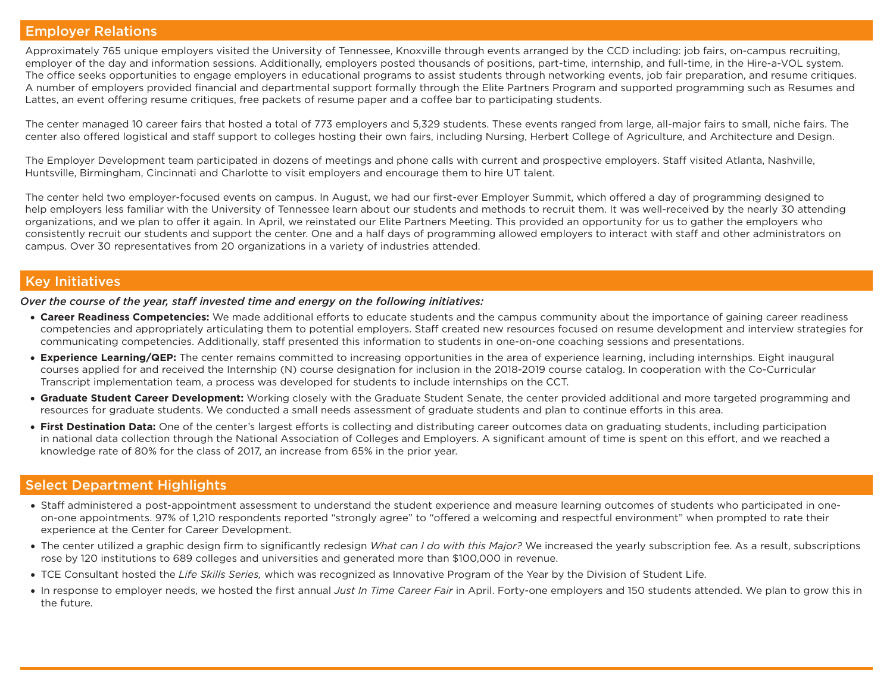#### Employer Relations

Approximately 765 unique employers visited the University of Tennessee, Knoxville through events arranged by the CCD including: job fairs, on-campus recruiting, employer of the day and information sessions. Additionally, employers posted thousands of positions, part-time, internship, and full-time, in the Hire-a-VOL system. The office seeks opportunities to engage employers in educational programs to assist students through networking events, job fair preparation, and resume critiques. A number of employers provided financial and departmental support formally through the Elite Partners Program and supported programming such as Resumes and Lattes, an event offering resume critiques, free packets of resume paper and a coffee bar to participating students.

The center managed 10 career fairs that hosted a total of 773 employers and 5,329 students. These events ranged from large, all-major fairs to small, niche fairs. The center also offered logistical and staff support to colleges hosting their own fairs, including Nursing, Herbert College of Agriculture, and Architecture and Design.

The Employer Development team participated in dozens of meetings and phone calls with current and prospective employers. Staff visited Atlanta, Nashville, Huntsville, Birmingham, Cincinnati and Charlotte to visit employers and encourage them to hire UT talent.

The center held two employer-focused events on campus. In August, we had our first-ever Employer Summit, which offered a day of programming designed to help employers less familiar with the University of Tennessee learn about our students and methods to recruit them. It was well-received by the nearly 30 attending organizations, and we plan to offer it again. In April, we reinstated our Elite Partners Meeting. This provided an opportunity for us to gather the employers who consistently recruit our students and support the center. One and a half days of programming allowed employers to interact with staff and other administrators on campus. Over 30 representatives from 20 organizations in a variety of industries attended.

#### Key Initiatives

*Over the course of the year, staff invested time and energy on the following initiatives:*

- • **Career Readiness Competencies:** We made additional efforts to educate students and the campus community about the importance of gaining career readiness competencies and appropriately articulating them to potential employers. Staff created new resources focused on resume development and interview strategies for communicating competencies. Additionally, staff presented this information to students in one-on-one coaching sessions and presentations.
- **Experience Learning/QEP:** The center remains committed to increasing opportunities in the area of experience learning, including internships. Eight inaugural courses applied for and received the Internship (N) course designation for inclusion in the 2018-2019 course catalog. In cooperation with the Co-Curricular Transcript implementation team, a process was developed for students to include internships on the CCT.
- **Graduate Student Career Development:** Working closely with the Graduate Student Senate, the center provided additional and more targeted programming and resources for graduate students. We conducted a small needs assessment of graduate students and plan to continue efforts in this area.
- First Destination Data: One of the center's largest efforts is collecting and distributing career outcomes data on graduating students, including participation in national data collection through the National Association of Colleges and Employers. A significant amount of time is spent on this effort, and we reached a knowledge rate of 80% for the class of 2017, an increase from 65% in the prior year.

#### Select Department Highlights

- Staff administered a post-appointment assessment to understand the student experience and measure learning outcomes of students who participated in oneon-one appointments. 97% of 1,210 respondents reported "strongly agree" to "offered a welcoming and respectful environment" when prompted to rate their experience at the Center for Career Development.
- • The center utilized a graphic design firm to significantly redesign *What can I do with this Major?* We increased the yearly subscription fee. As a result, subscriptions rose by 120 institutions to 689 colleges and universities and generated more than \$100,000 in revenue.
- • TCE Consultant hosted the *Life Skills Series,* which was recognized as Innovative Program of the Year by the Division of Student Life.
- • In response to employer needs, we hosted the first annual *Just In Time Career Fair* in April. Forty-one employers and 150 students attended. We plan to grow this in the future.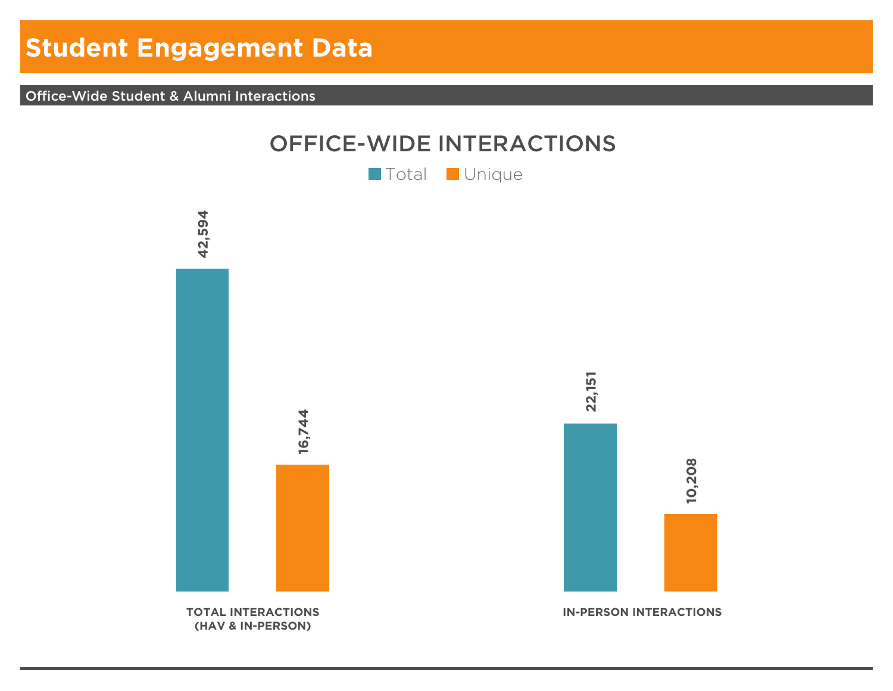# **Student Engagement Data**

Office-Wide Student & Alumni Interactions



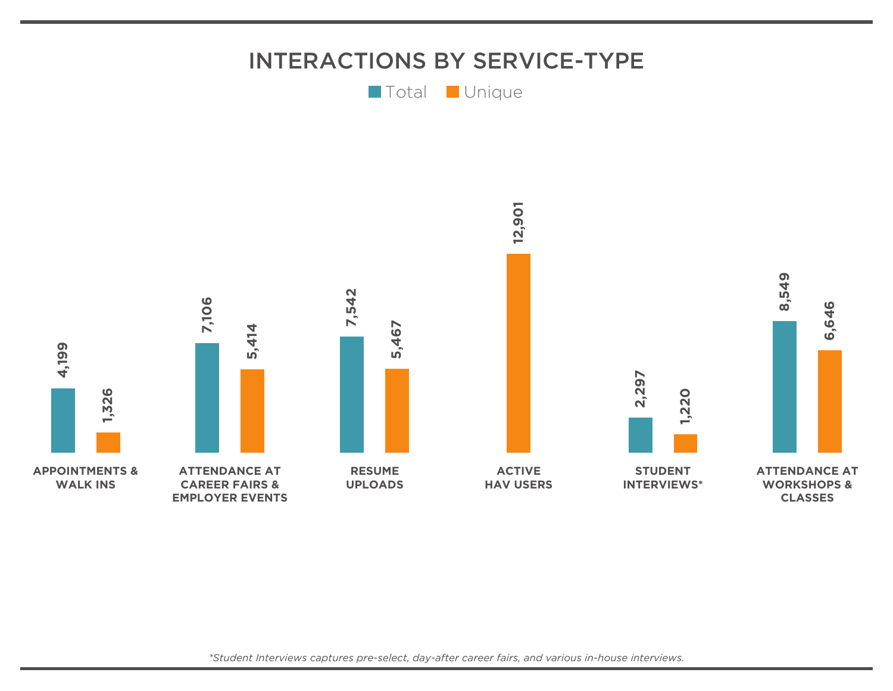

*\*Student Interviews captures pre-select, day-after career fairs, and various in-house interviews.*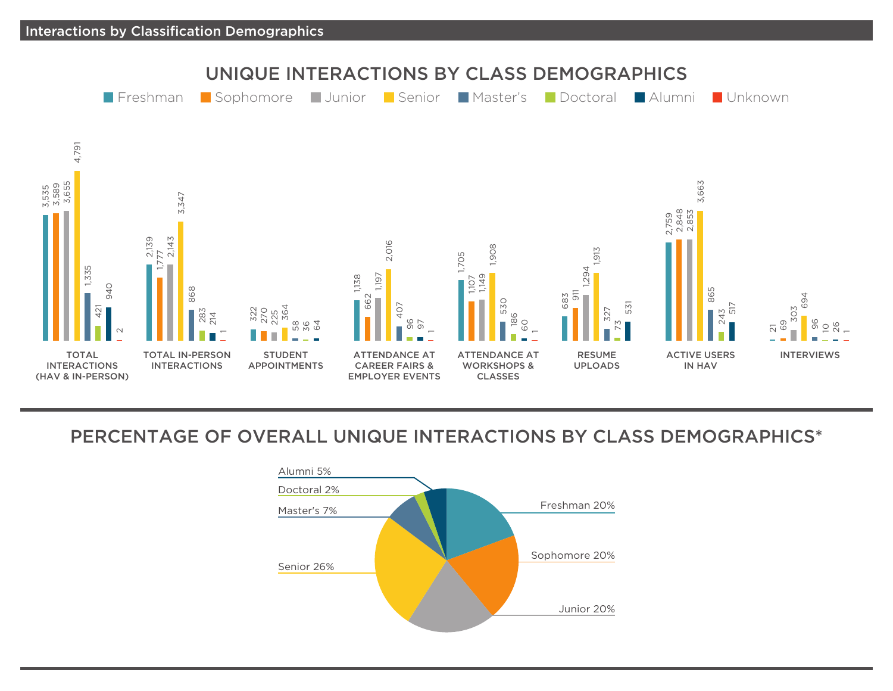

## PERCENTAGE OF OVERALL UNIQUE INTERACTIONS BY CLASS DEMOGRAPHICS\*

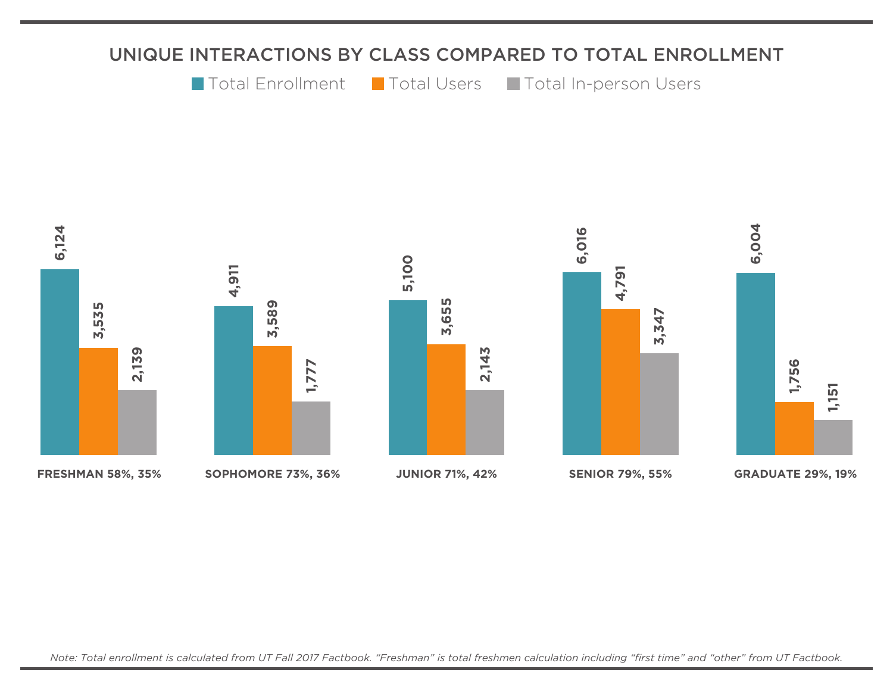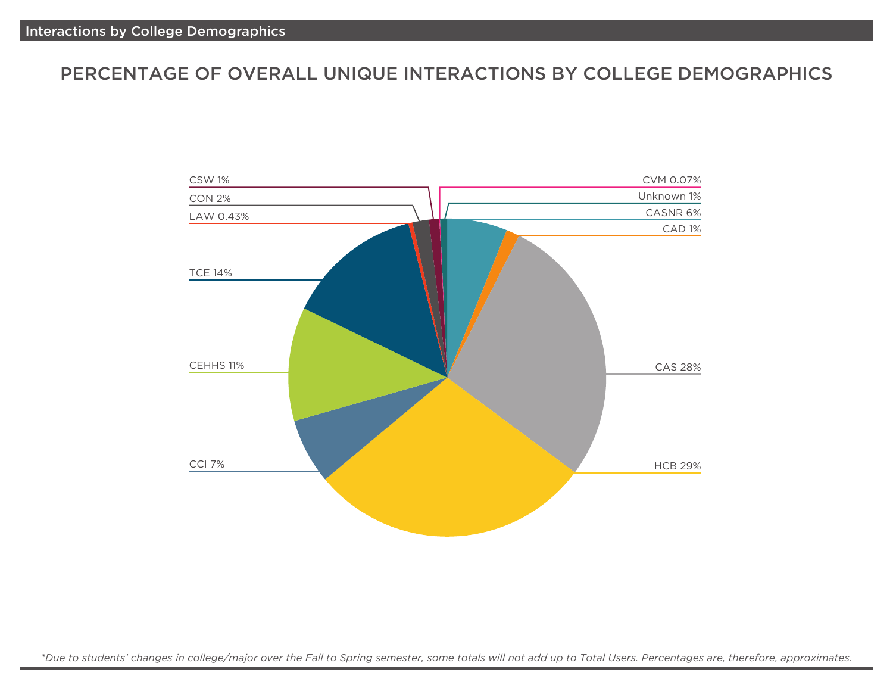## PERCENTAGE OF OVERALL UNIQUE INTERACTIONS BY COLLEGE DEMOGRAPHICS



*\*Due to students' changes in college/major over the Fall to Spring semester, some totals will not add up to Total Users. Percentages are, therefore, approximates.*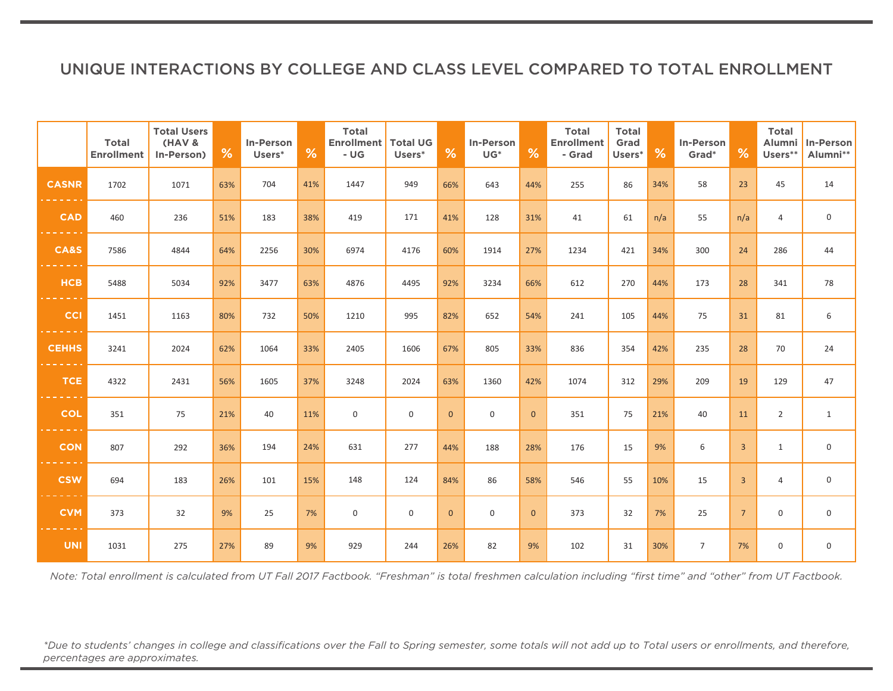## UNIQUE INTERACTIONS BY COLLEGE AND CLASS LEVEL COMPARED TO TOTAL ENROLLMENT

|                 | <b>Total</b><br><b>Enrollment</b> | <b>Total Users</b><br>(HAV &<br>In-Person) | %   | In-Person<br>Users* | %   | <b>Total</b><br><b>Enrollment   Total UG</b><br>- UG | Users*      | %            | In-Person<br>$\mathsf{UG}^*$ | %              | <b>Total</b><br><b>Enrollment</b><br>- Grad | <b>Total</b><br>Grad<br>Users* | %   | In-Person<br>Grad <sup>*</sup> | %               | <b>Total</b><br>Alumni<br>Users** | In-Person<br>Alumni** |
|-----------------|-----------------------------------|--------------------------------------------|-----|---------------------|-----|------------------------------------------------------|-------------|--------------|------------------------------|----------------|---------------------------------------------|--------------------------------|-----|--------------------------------|-----------------|-----------------------------------|-----------------------|
| <b>CASNR</b>    | 1702                              | 1071                                       | 63% | 704                 | 41% | 1447                                                 | 949         | 66%          | 643                          | 44%            | 255                                         | 86                             | 34% | 58                             | 23              | 45                                | 14                    |
| <b>CAD</b>      | 460                               | 236                                        | 51% | 183                 | 38% | 419                                                  | 171         | 41%          | 128                          | 31%            | 41                                          | 61                             | n/a | 55                             | n/a             | 4                                 | $\mathsf{O}\xspace$   |
| <b>CA&amp;S</b> | 7586                              | 4844                                       | 64% | 2256                | 30% | 6974                                                 | 4176        | 60%          | 1914                         | 27%            | 1234                                        | 421                            | 34% | 300                            | 24              | 286                               | 44                    |
| <b>HCB</b>      | 5488                              | 5034                                       | 92% | 3477                | 63% | 4876                                                 | 4495        | 92%          | 3234                         | 66%            | 612                                         | 270                            | 44% | 173                            | 28              | 341                               | 78                    |
| <b>CCI</b>      | 1451                              | 1163                                       | 80% | 732                 | 50% | 1210                                                 | 995         | 82%          | 652                          | 54%            | 241                                         | 105                            | 44% | 75                             | 31              | 81                                | 6                     |
| <b>CEHHS</b>    | 3241                              | 2024                                       | 62% | 1064                | 33% | 2405                                                 | 1606        | 67%          | 805                          | 33%            | 836                                         | 354                            | 42% | 235                            | 28              | 70                                | 24                    |
| <b>TCE</b>      | 4322                              | 2431                                       | 56% | 1605                | 37% | 3248                                                 | 2024        | 63%          | 1360                         | 42%            | 1074                                        | 312                            | 29% | 209                            | 19              | 129                               | 47                    |
| <b>COL</b>      | 351                               | 75                                         | 21% | 40                  | 11% | 0                                                    | 0           | $\mathbf{0}$ | 0                            | $\mathbf{0}$   | 351                                         | 75                             | 21% | 40                             | 11              | $\overline{2}$                    | $\mathbf{1}$          |
| <b>CON</b>      | 807                               | 292                                        | 36% | 194                 | 24% | 631                                                  | 277         | 44%          | 188                          | 28%            | 176                                         | 15                             | 9%  | 6                              | $\overline{3}$  | $\mathbf{1}$                      | $\mathbf 0$           |
| <b>CSW</b>      | 694                               | 183                                        | 26% | 101                 | 15% | 148                                                  | 124         | 84%          | 86                           | 58%            | 546                                         | 55                             | 10% | 15                             | $\overline{3}$  | $\overline{4}$                    | $\mathsf{O}\xspace$   |
| <b>CVM</b>      | 373                               | 32                                         | 9%  | 25                  | 7%  | 0                                                    | $\mathbf 0$ | $\mathbf{0}$ | $\mathbf 0$                  | $\overline{0}$ | 373                                         | 32                             | 7%  | 25                             | $7\overline{ }$ | 0                                 | $\mathsf{O}$          |
| <b>UNI</b>      | 1031                              | 275                                        | 27% | 89                  | 9%  | 929                                                  | 244         | 26%          | 82                           | 9%             | 102                                         | 31                             | 30% | $7\overline{ }$                | 7%              | 0                                 | $\mathsf 0$           |

*Note: Total enrollment is calculated from UT Fall 2017 Factbook. "Freshman" is total freshmen calculation including "first time" and "other" from UT Factbook.*

*\*Due to students' changes in college and classifications over the Fall to Spring semester, some totals will not add up to Total users or enrollments, and therefore, percentages are approximates.*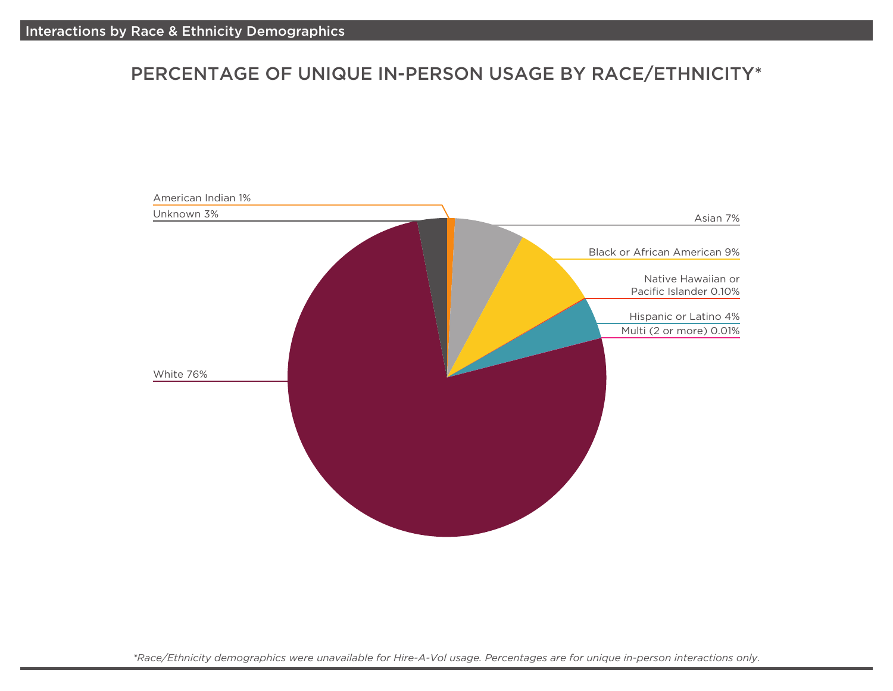## PERCENTAGE OF UNIQUE IN-PERSON USAGE BY RACE/ETHNICITY\*



*\*Race/Ethnicity demographics were unavailable for Hire-A-Vol usage. Percentages are for unique in-person interactions only.*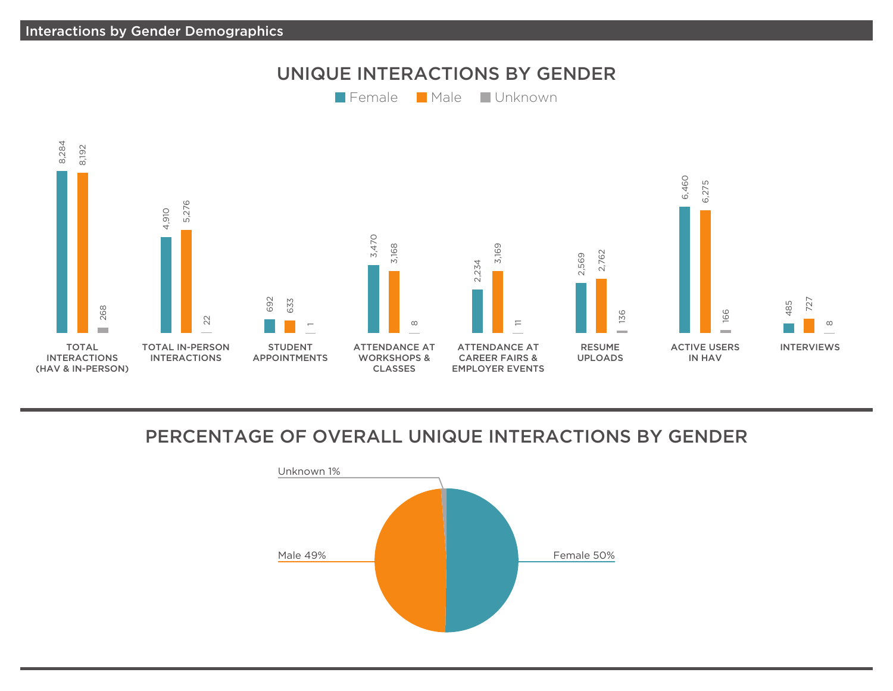

## PERCENTAGE OF OVERALL UNIQUE INTERACTIONS BY GENDER

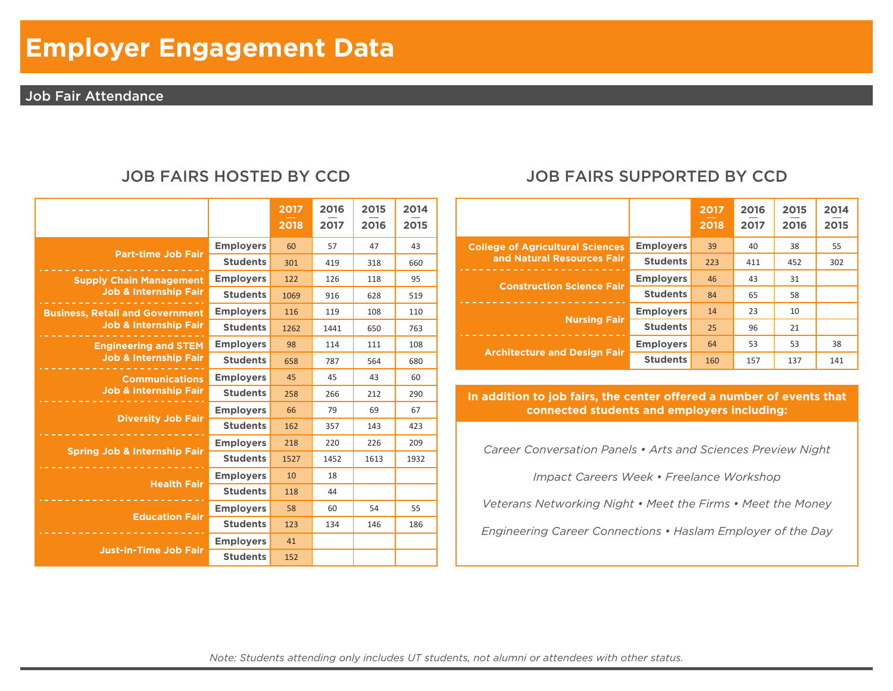# **Employer Engagement Data**

#### Job Fair Attendance

|                                         |                  | 2017<br>2018 | 2016<br>2017 | 2015<br>2016 | 2014<br>2015 |
|-----------------------------------------|------------------|--------------|--------------|--------------|--------------|
| <b>Part-time Job Fair</b>               | <b>Employers</b> | 60           | 57           | 47           | 43           |
|                                         | <b>Students</b>  | 301          | 419          | 318          | 660          |
| <b>Supply Chain Management</b>          | <b>Employers</b> | 122          | 126          | 118          | 95           |
| <b>Job &amp; Internship Fair</b>        | <b>Students</b>  | 1069         | 916          | 628          | 519          |
| <b>Business, Retail and Government</b>  | <b>Employers</b> | 116          | 119          | 108          | 110          |
| <b>Job &amp; Internship Fair</b>        | <b>Students</b>  | 1262         | 1441         | 650          | 763          |
| <b>Engineering and STEM</b>             | <b>Employers</b> | 98           | 114          | 111          | 108          |
| <b>Job &amp; Internship Fair</b>        | <b>Students</b>  | 658          | 787          | 564          | 680          |
| <b>Communications</b>                   | <b>Employers</b> | 45           | 45           | 43           | 60           |
| <b>Job &amp; Internship Fair</b>        | <b>Students</b>  | 258          | 266          | 212          | 290          |
| <b>Diversity Job Fair</b>               | <b>Employers</b> | 66           | 79           | 69           | 67           |
|                                         | <b>Students</b>  | 162          | 357          | 143          | 423          |
| <b>Spring Job &amp; Internship Fair</b> | <b>Employers</b> | 218          | 220          | 226          | 209          |
|                                         | <b>Students</b>  | 1527         | 1452         | 1613         | 1932         |
| <b>Health Fair</b>                      | <b>Employers</b> | 10           | 18           |              |              |
|                                         | <b>Students</b>  | 118          | 44           |              |              |
| <b>Education Fair</b>                   | <b>Employers</b> | 58           | 60           | 54           | 55           |
|                                         | <b>Students</b>  | 123          | 134          | 146          | 186          |
| <b>Just-In-Time Job Fair</b>            | <b>Employers</b> | 41           |              |              |              |
|                                         | <b>Students</b>  | 152          |              |              |              |

## JOB FAIRS HOSTED BY CCD JOB FAIRS SUPPORTED BY CCD

|                                         |                  | 2017<br>2018 | 2016<br>2017 | 2015<br>2016 | 2014<br>2015 |
|-----------------------------------------|------------------|--------------|--------------|--------------|--------------|
| <b>College of Agricultural Sciences</b> | <b>Employers</b> | 39           | 40           | 38           | 55           |
| and Natural Resources Fair              | <b>Students</b>  | 223          | 411          | 452          | 302          |
| <b>Construction Science Fair</b>        | <b>Employers</b> | 46           | 43           | 31           |              |
|                                         | <b>Students</b>  | 84           | 65           | 58           |              |
| <b>Nursing Fair</b>                     | <b>Employers</b> | 14           | 23           | 10           |              |
|                                         | <b>Students</b>  | 25           | 96           | 21           |              |
|                                         | <b>Employers</b> | 64           | 53           | 53           | 38           |
| <b>Architecture and Design Fair</b>     | <b>Students</b>  | 160          | 157          | 137          | 141          |

In addition to job fairs, the center offered a number of events that **connected students and employers including:**

*Career Conversation Panels • Arts and Sciences Preview Night*

*Impact Careers Week • Freelance Workshop*

*Veterans Networking Night • Meet the Firms • Meet the Money*

*Engineering Career Connections • Haslam Employer of the Day*

*Note: Students attending only includes UT students, not alumni or attendees with other status.*